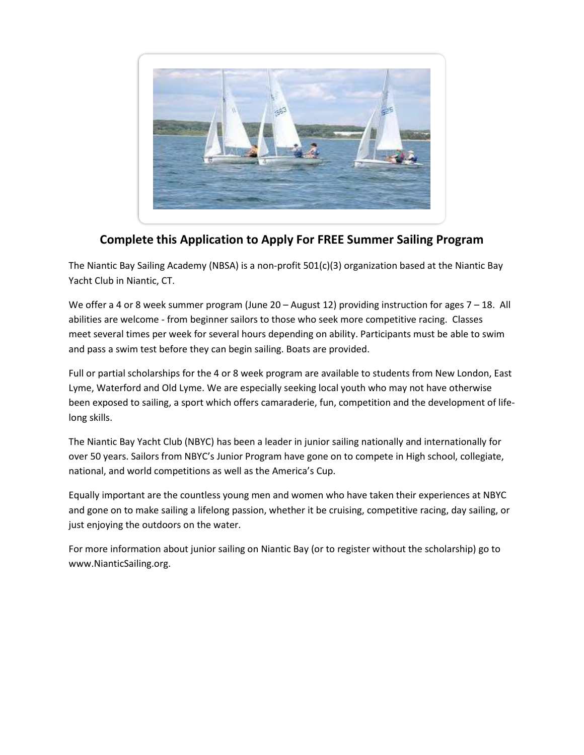

## **Complete this Application to Apply For FREE Summer Sailing Program**

The Niantic Bay Sailing Academy (NBSA) is a non-profit 501(c)(3) organization based at the Niantic Bay Yacht Club in Niantic, CT.

We offer a 4 or 8 week summer program (June 20 – August 12) providing instruction for ages 7 – 18. All abilities are welcome - from beginner sailors to those who seek more competitive racing. Classes meet several times per week for several hours depending on ability. Participants must be able to swim and pass a swim test before they can begin sailing. Boats are provided.

Full or partial scholarships for the 4 or 8 week program are available to students from New London, East Lyme, Waterford and Old Lyme. We are especially seeking local youth who may not have otherwise been exposed to sailing, a sport which offers camaraderie, fun, competition and the development of lifelong skills.

The Niantic Bay Yacht Club (NBYC) has been a leader in junior sailing nationally and internationally for over 50 years. Sailors from NBYC's Junior Program have gone on to compete in High school, collegiate, national, and world competitions as well as the America's Cup.

Equally important are the countless young men and women who have taken their experiences at NBYC and gone on to make sailing a lifelong passion, whether it be cruising, competitive racing, day sailing, or just enjoying the outdoors on the water.

For more information about junior sailing on Niantic Bay (or to register without the scholarship) go to www.NianticSailing.org.